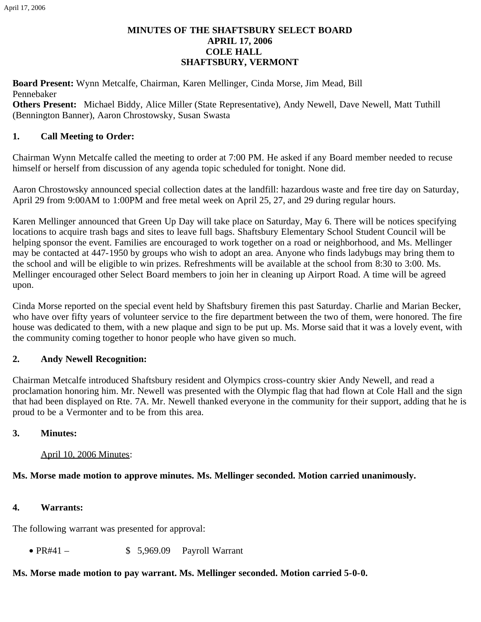# **MINUTES OF THE SHAFTSBURY SELECT BOARD APRIL 17, 2006 COLE HALL SHAFTSBURY, VERMONT**

**Board Present:** Wynn Metcalfe, Chairman, Karen Mellinger, Cinda Morse, Jim Mead, Bill Pennebaker

**Others Present:** Michael Biddy, Alice Miller (State Representative), Andy Newell, Dave Newell, Matt Tuthill (Bennington Banner), Aaron Chrostowsky, Susan Swasta

# **1. Call Meeting to Order:**

Chairman Wynn Metcalfe called the meeting to order at 7:00 PM. He asked if any Board member needed to recuse himself or herself from discussion of any agenda topic scheduled for tonight. None did.

Aaron Chrostowsky announced special collection dates at the landfill: hazardous waste and free tire day on Saturday, April 29 from 9:00AM to 1:00PM and free metal week on April 25, 27, and 29 during regular hours.

Karen Mellinger announced that Green Up Day will take place on Saturday, May 6. There will be notices specifying locations to acquire trash bags and sites to leave full bags. Shaftsbury Elementary School Student Council will be helping sponsor the event. Families are encouraged to work together on a road or neighborhood, and Ms. Mellinger may be contacted at 447-1950 by groups who wish to adopt an area. Anyone who finds ladybugs may bring them to the school and will be eligible to win prizes. Refreshments will be available at the school from 8:30 to 3:00. Ms. Mellinger encouraged other Select Board members to join her in cleaning up Airport Road. A time will be agreed upon.

Cinda Morse reported on the special event held by Shaftsbury firemen this past Saturday. Charlie and Marian Becker, who have over fifty years of volunteer service to the fire department between the two of them, were honored. The fire house was dedicated to them, with a new plaque and sign to be put up. Ms. Morse said that it was a lovely event, with the community coming together to honor people who have given so much.

## **2. Andy Newell Recognition:**

Chairman Metcalfe introduced Shaftsbury resident and Olympics cross-country skier Andy Newell, and read a proclamation honoring him. Mr. Newell was presented with the Olympic flag that had flown at Cole Hall and the sign that had been displayed on Rte. 7A. Mr. Newell thanked everyone in the community for their support, adding that he is proud to be a Vermonter and to be from this area.

## **3. Minutes:**

April 10, 2006 Minutes:

## **Ms. Morse made motion to approve minutes. Ms. Mellinger seconded. Motion carried unanimously.**

## **4. Warrants:**

The following warrant was presented for approval:

•  $PR#41 -$  \$ 5,969.09 Payroll Warrant

# **Ms. Morse made motion to pay warrant. Ms. Mellinger seconded. Motion carried 5-0-0.**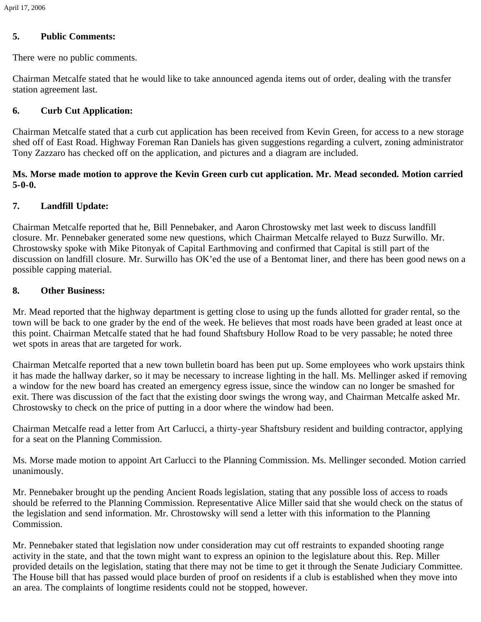## **5. Public Comments:**

There were no public comments.

Chairman Metcalfe stated that he would like to take announced agenda items out of order, dealing with the transfer station agreement last.

# **6. Curb Cut Application:**

Chairman Metcalfe stated that a curb cut application has been received from Kevin Green, for access to a new storage shed off of East Road. Highway Foreman Ran Daniels has given suggestions regarding a culvert, zoning administrator Tony Zazzaro has checked off on the application, and pictures and a diagram are included.

#### **Ms. Morse made motion to approve the Kevin Green curb cut application. Mr. Mead seconded. Motion carried 5-0-0.**

## **7. Landfill Update:**

Chairman Metcalfe reported that he, Bill Pennebaker, and Aaron Chrostowsky met last week to discuss landfill closure. Mr. Pennebaker generated some new questions, which Chairman Metcalfe relayed to Buzz Surwillo. Mr. Chrostowsky spoke with Mike Pitonyak of Capital Earthmoving and confirmed that Capital is still part of the discussion on landfill closure. Mr. Surwillo has OK'ed the use of a Bentomat liner, and there has been good news on a possible capping material.

#### **8. Other Business:**

Mr. Mead reported that the highway department is getting close to using up the funds allotted for grader rental, so the town will be back to one grader by the end of the week. He believes that most roads have been graded at least once at this point. Chairman Metcalfe stated that he had found Shaftsbury Hollow Road to be very passable; he noted three wet spots in areas that are targeted for work.

Chairman Metcalfe reported that a new town bulletin board has been put up. Some employees who work upstairs think it has made the hallway darker, so it may be necessary to increase lighting in the hall. Ms. Mellinger asked if removing a window for the new board has created an emergency egress issue, since the window can no longer be smashed for exit. There was discussion of the fact that the existing door swings the wrong way, and Chairman Metcalfe asked Mr. Chrostowsky to check on the price of putting in a door where the window had been.

Chairman Metcalfe read a letter from Art Carlucci, a thirty-year Shaftsbury resident and building contractor, applying for a seat on the Planning Commission.

Ms. Morse made motion to appoint Art Carlucci to the Planning Commission. Ms. Mellinger seconded. Motion carried unanimously.

Mr. Pennebaker brought up the pending Ancient Roads legislation, stating that any possible loss of access to roads should be referred to the Planning Commission. Representative Alice Miller said that she would check on the status of the legislation and send information. Mr. Chrostowsky will send a letter with this information to the Planning Commission.

Mr. Pennebaker stated that legislation now under consideration may cut off restraints to expanded shooting range activity in the state, and that the town might want to express an opinion to the legislature about this. Rep. Miller provided details on the legislation, stating that there may not be time to get it through the Senate Judiciary Committee. The House bill that has passed would place burden of proof on residents if a club is established when they move into an area. The complaints of longtime residents could not be stopped, however.